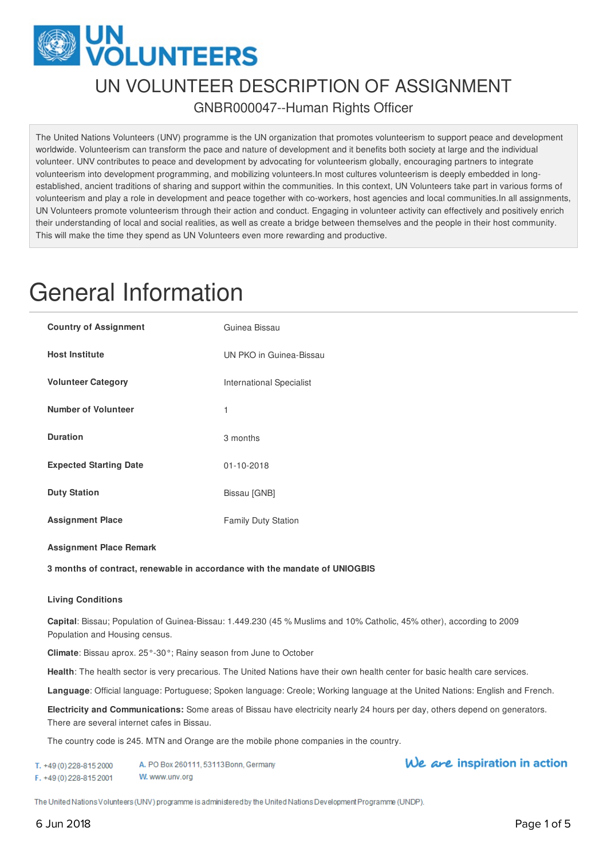

## UN VOLUNTEER DESCRIPTION OF ASSIGNMENT

GNBR000047--Human Rights Officer

The United Nations Volunteers (UNV) programme is the UN organization that promotes volunteerism to support peace and development worldwide. Volunteerism can transform the pace and nature of development and it benefits both society at large and the individual volunteer. UNV contributes to peace and development by advocating for volunteerism globally, encouraging partners to integrate volunteerism into development programming, and mobilizing volunteers.In most cultures volunteerism is deeply embedded in longestablished, ancient traditions of sharing and support within the communities. In this context, UN Volunteers take part in various forms of volunteerism and play a role in development and peace together with co-workers, host agencies and local communities.In all assignments, UN Volunteers promote volunteerism through their action and conduct. Engaging in volunteer activity can effectively and positively enrich their understanding of local and social realities, as well as create a bridge between themselves and the people in their host community. This will make the time they spend as UN Volunteers even more rewarding and productive.

# General Information

| <b>Country of Assignment</b>  | Guinea Bissau              |
|-------------------------------|----------------------------|
| <b>Host Institute</b>         | UN PKO in Guinea-Bissau    |
| <b>Volunteer Category</b>     | International Specialist   |
| <b>Number of Volunteer</b>    | 1                          |
| <b>Duration</b>               | 3 months                   |
| <b>Expected Starting Date</b> | $01 - 10 - 2018$           |
| <b>Duty Station</b>           | Bissau [GNB]               |
| <b>Assignment Place</b>       | <b>Family Duty Station</b> |

**Assignment Place Remark**

**3 months of contract, renewable in accordance with the mandate of UNIOGBIS**

#### **Living Conditions**

**Capital**: Bissau; Population of Guinea-Bissau: 1.449.230 (45 % Muslims and 10% Catholic, 45% other), according to 2009 Population and Housing census.

**Climate**: Bissau aprox. 25°-30°; Rainy season from June to October

**Health**: The health sector is very precarious. The United Nations have their own health center for basic health care services.

**Language**: Official language: Portuguese; Spoken language: Creole; Working language at the United Nations: English and French.

**Electricity and Communications:** Some areas of Bissau have electricity nearly 24 hours per day, others depend on generators. There are several internet cafes in Bissau.

The country code is 245. MTN and Orange are the mobile phone companies in the country.

| F. +49 (0) 228-815 2000 | A. PO Box 260111, 53113Bonn, Germany |
|-------------------------|--------------------------------------|
| $-1.49(0)228-8152001$   | W. www.unv.org                       |

### We are inspiration in action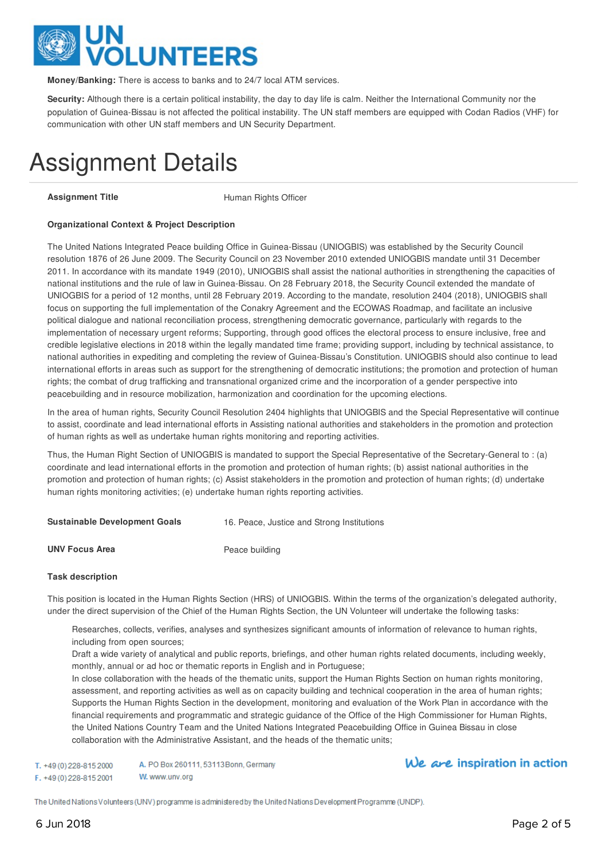

**Money/Banking:** There is access to banks and to 24/7 local ATM services.

**Security:** Although there is a certain political instability, the day to day life is calm. Neither the International Community nor the population of Guinea-Bissau is not affected the political instability. The UN staff members are equipped with Codan Radios (VHF) for communication with other UN staff members and UN Security Department.

# Assignment Details

**Assignment Title** Human Rights Officer

#### **Organizational Context & Project Description**

The United Nations Integrated Peace building Office in Guinea-Bissau (UNIOGBIS) was established by the Security Council resolution 1876 of 26 June 2009. The Security Council on 23 November 2010 extended UNIOGBIS mandate until 31 December 2011. In accordance with its mandate 1949 (2010), UNIOGBIS shall assist the national authorities in strengthening the capacities of national institutions and the rule of law in Guinea-Bissau. On 28 February 2018, the Security Council extended the mandate of UNIOGBIS for a period of 12 months, until 28 February 2019. According to the mandate, resolution 2404 (2018), UNIOGBIS shall focus on supporting the full implementation of the Conakry Agreement and the ECOWAS Roadmap, and facilitate an inclusive political dialogue and national reconciliation process, strengthening democratic governance, particularly with regards to the implementation of necessary urgent reforms; Supporting, through good offices the electoral process to ensure inclusive, free and credible legislative elections in 2018 within the legally mandated time frame; providing support, including by technical assistance, to national authorities in expediting and completing the review of Guinea-Bissau's Constitution. UNIOGBIS should also continue to lead international efforts in areas such as support for the strengthening of democratic institutions; the promotion and protection of human rights; the combat of drug trafficking and transnational organized crime and the incorporation of a gender perspective into peacebuilding and in resource mobilization, harmonization and coordination for the upcoming elections.

In the area of human rights, Security Council Resolution 2404 highlights that UNIOGBIS and the Special Representative will continue to assist, coordinate and lead international efforts in Assisting national authorities and stakeholders in the promotion and protection of human rights as well as undertake human rights monitoring and reporting activities.

Thus, the Human Right Section of UNIOGBIS is mandated to support the Special Representative of the Secretary-General to : (a) coordinate and lead international efforts in the promotion and protection of human rights; (b) assist national authorities in the promotion and protection of human rights; (c) Assist stakeholders in the promotion and protection of human rights; (d) undertake human rights monitoring activities; (e) undertake human rights reporting activities.

**UNV Focus Area Peace building** 

#### **Task description**

This position is located in the Human Rights Section (HRS) of UNIOGBIS. Within the terms of the organization's delegated authority, under the direct supervision of the Chief of the Human Rights Section, the UN Volunteer will undertake the following tasks:

Researches, collects, verifies, analyses and synthesizes significant amounts of information of relevance to human rights, including from open sources;

Draft a wide variety of analytical and public reports, briefings, and other human rights related documents, including weekly, monthly, annual or ad hoc or thematic reports in English and in Portuguese;

In close collaboration with the heads of the thematic units, support the Human Rights Section on human rights monitoring, assessment, and reporting activities as well as on capacity building and technical cooperation in the area of human rights; Supports the Human Rights Section in the development, monitoring and evaluation of the Work Plan in accordance with the financial requirements and programmatic and strategic guidance of the Office of the High Commissioner for Human Rights, the United Nations Country Team and the United Nations Integrated Peacebuilding Office in Guinea Bissau in close collaboration with the Administrative Assistant, and the heads of the thematic units;

A. PO Box 260111, 53113Bonn, Germany T. +49 (0) 228-815 2000 W. www.unv.org F. +49 (0) 228-815 2001

We are inspiration in action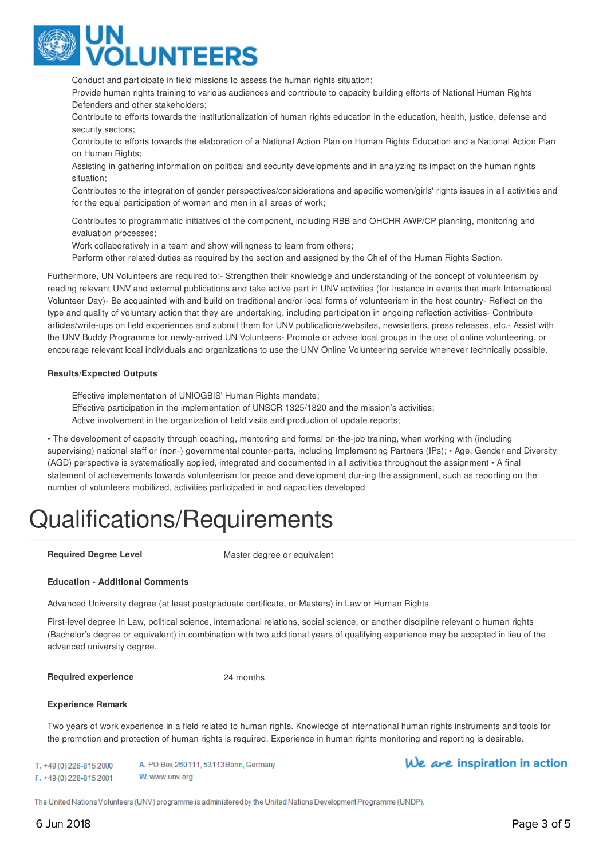

Conduct and participate in field missions to assess the human rights situation;

Provide human rights training to various audiences and contribute to capacity building efforts of National Human Rights Defenders and other stakeholders;

Contribute to efforts towards the institutionalization of human rights education in the education, health, justice, defense and security sectors;

Contribute to efforts towards the elaboration of a National Action Plan on Human Rights Education and a National Action Plan on Human Rights;

Assisting in gathering information on political and security developments and in analyzing its impact on the human rights situation;

Contributes to the integration of gender perspectives/considerations and specific women/girls' rights issues in all activities and for the equal participation of women and men in all areas of work;

Contributes to programmatic initiatives of the component, including RBB and OHCHR AWP/CP planning, monitoring and evaluation processes;

Work collaboratively in a team and show willingness to learn from others;

Perform other related duties as required by the section and assigned by the Chief of the Human Rights Section.

Furthermore, UN Volunteers are required to:- Strengthen their knowledge and understanding of the concept of volunteerism by reading relevant UNV and external publications and take active part in UNV activities (for instance in events that mark International Volunteer Day)- Be acquainted with and build on traditional and/or local forms of volunteerism in the host country- Reflect on the type and quality of voluntary action that they are undertaking, including participation in ongoing reflection activities- Contribute articles/write-ups on field experiences and submit them for UNV publications/websites, newsletters, press releases, etc.- Assist with the UNV Buddy Programme for newly-arrived UN Volunteers- Promote or advise local groups in the use of online volunteering, or encourage relevant local individuals and organizations to use the UNV Online Volunteering service whenever technically possible.

#### **Results/Expected Outputs**

Effective implementation of UNIOGBIS' Human Rights mandate;

- Effective participation in the implementation of UNSCR 1325/1820 and the mission's activities;
- Active involvement in the organization of field visits and production of update reports;

• The development of capacity through coaching, mentoring and formal on-the-job training, when working with (including supervising) national staff or (non-) governmental counter-parts, including Implementing Partners (IPs); • Age, Gender and Diversity (AGD) perspective is systematically applied, integrated and documented in all activities throughout the assignment • A final statement of achievements towards volunteerism for peace and development dur-ing the assignment, such as reporting on the number of volunteers mobilized, activities participated in and capacities developed

# Qualifications/Requirements

**Required Degree Level** Master degree or equivalent

#### **Education - Additional Comments**

Advanced University degree (at least postgraduate certificate, or Masters) in Law or Human Rights

First-level degree In Law, political science, international relations, social science, or another discipline relevant o human rights (Bachelor's degree or equivalent) in combination with two additional years of qualifying experience may be accepted in lieu of the advanced university degree.

**Required experience** 24 months

#### **Experience Remark**

Two years of work experience in a field related to human rights. Knowledge of international human rights instruments and tools for the promotion and protection of human rights is required. Experience in human rights monitoring and reporting is desirable.

A. PO Box 260111, 53113Bonn, Germany T. +49 (0) 228-815 2000 W. www.unv.org F. +49 (0) 228-815 2001

### We are inspiration in action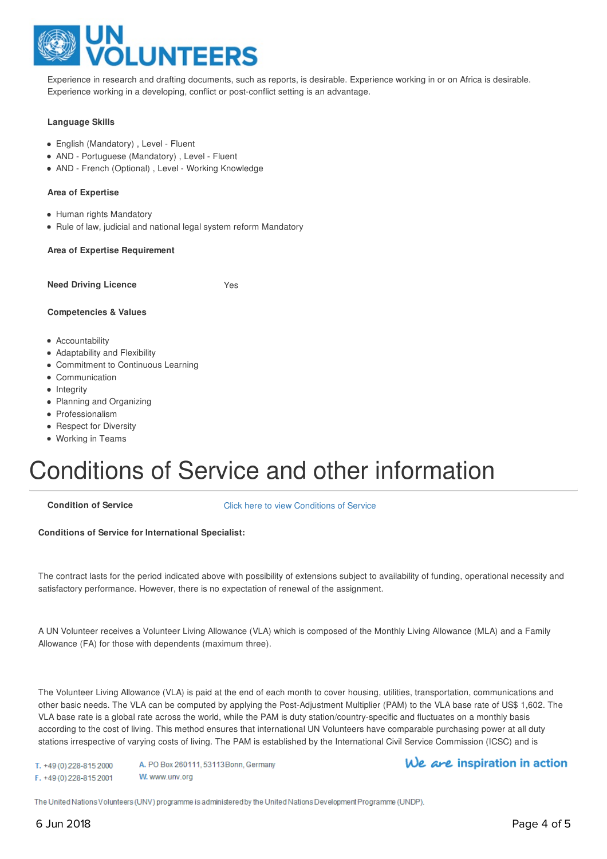

Experience in research and drafting documents, such as reports, is desirable. Experience working in or on Africa is desirable. Experience working in a developing, conflict or post-conflict setting is an advantage.

#### **Language Skills**

- English (Mandatory) , Level Fluent
- AND Portuguese (Mandatory) , Level Fluent
- AND French (Optional) , Level Working Knowledge

#### **Area of Expertise**

- Human rights Mandatory
- Rule of law, judicial and national legal system reform Mandatory

#### **Area of Expertise Requirement**

**Need Driving Licence** Yes

#### **Competencies & Values**

- Accountability
- Adaptability and Flexibility
- Commitment to Continuous Learning
- Communication
- Integrity
- Planning and Organizing
- Professionalism
- Respect for Diversity
- Working in Teams

# Conditions of Service and other information

**Condition of Service** Click here to view [Conditions](https://unv.org/become-volunteer/volunteer-abroad/conditions-of-service) of Service

#### **Conditions of Service for International Specialist:**

The contract lasts for the period indicated above with possibility of extensions subject to availability of funding, operational necessity and satisfactory performance. However, there is no expectation of renewal of the assignment.

A UN Volunteer receives a Volunteer Living Allowance (VLA) which is composed of the Monthly Living Allowance (MLA) and a Family Allowance (FA) for those with dependents (maximum three).

The Volunteer Living Allowance (VLA) is paid at the end of each month to cover housing, utilities, transportation, communications and other basic needs. The VLA can be computed by applying the Post-Adjustment Multiplier (PAM) to the VLA base rate of US\$ 1,602. The VLA base rate is a global rate across the world, while the PAM is duty station/country-specific and fluctuates on a monthly basis according to the cost of living. This method ensures that international UN Volunteers have comparable purchasing power at all duty stations irrespective of varying costs of living. The PAM is established by the International Civil Service Commission (ICSC) and is

A. PO Box 260111, 53113Bonn, Germany T. +49 (0) 228-815 2000 W. www.unv.org F. +49 (0) 228-815 2001

### We are inspiration in action